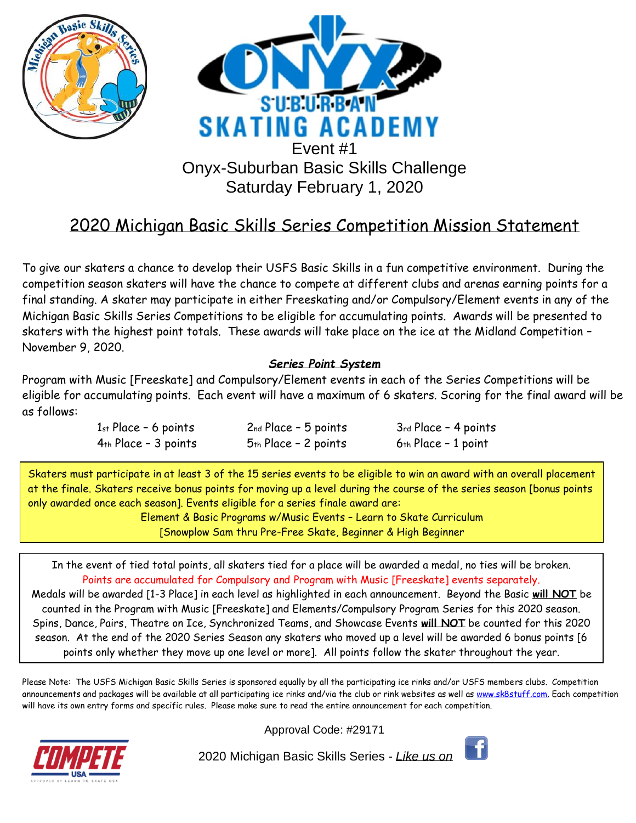

# 2020 Michigan Basic Skills Series Competition Mission Statement

To give our skaters a chance to develop their USFS Basic Skills in a fun competitive environment. During the competition season skaters will have the chance to compete at different clubs and arenas earning points for a final standing. A skater may participate in either Freeskating and/or Compulsory/Element events in any of the Michigan Basic Skills Series Competitions to be eligible for accumulating points. Awards will be presented to skaters with the highest point totals. These awards will take place on the ice at the Midland Competition – November 9, 2020.

### *Series Point System*

Program with Music [Freeskate] and Compulsory/Element events in each of the Series Competitions will be eligible for accumulating points. Each event will have a maximum of 6 skaters. Scoring for the final award will be as follows:

| $1st Place - 6 points$ | $2nd Place - 5 points$ | 3rd Place - 4 points  |
|------------------------|------------------------|-----------------------|
| $4th$ Place - 3 points | $5th$ Place - 2 points | $6th Place - 1 point$ |

Skaters must participate in at least 3 of the 15 series events to be eligible to win an award with an overall placement at the finale. Skaters receive bonus points for moving up a level during the course of the series season [bonus points only awarded once each season]. Events eligible for a series finale award are:

> Element & Basic Programs w/Music Events – Learn to Skate Curriculum [Snowplow Sam thru Pre-Free Skate, Beginner & High Beginner

In the event of tied total points, all skaters tied for a place will be awarded a medal, no ties will be broken. Points are accumulated for Compulsory and Program with Music [Freeskate] events separately. Medals will be awarded [1-3 Place] in each level as highlighted in each announcement. Beyond the Basic **will NOT** be counted in the Program with Music [Freeskate] and Elements/Compulsory Program Series for this 2020 season. Spins, Dance, Pairs, Theatre on Ice, Synchronized Teams, and Showcase Events **will NOT** be counted for this 2020 season. At the end of the 2020 Series Season any skaters who moved up a level will be awarded 6 bonus points [6 points only whether they move up one level or more]. All points follow the skater throughout the year.

Please Note: The USFS Michigan Basic Skills Series is sponsored equally by all the participating ice rinks and/or USFS members clubs. Competition announcements and packages will be available at all participating ice rinks and/via the club or rink websites as well as [www.sk8stuff.com.](http://www.sk8stuff.com/) Each competition will have its own entry forms and specific rules. Please make sure to read the entire announcement for each competition.



Approval Code: #29171

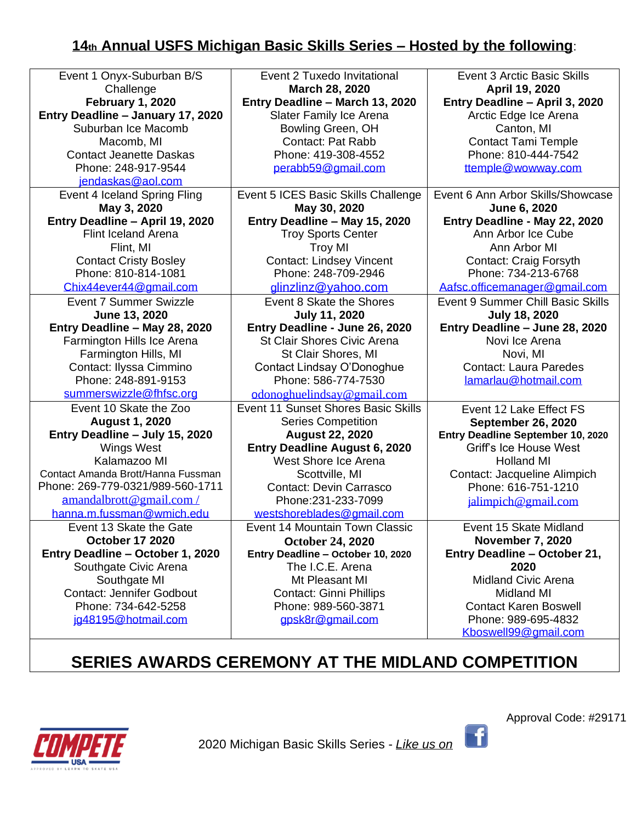# **14th Annual USFS Michigan Basic Skills Series – Hosted by the following**:

| Event 1 Onyx-Suburban B/S          | Event 2 Tuxedo Invitational         | <b>Event 3 Arctic Basic Skills</b>  |
|------------------------------------|-------------------------------------|-------------------------------------|
| Challenge                          | March 28, 2020                      | April 19, 2020                      |
| <b>February 1, 2020</b>            | Entry Deadline - March 13, 2020     | Entry Deadline - April 3, 2020      |
| Entry Deadline - January 17, 2020  | Slater Family Ice Arena             | Arctic Edge Ice Arena               |
| Suburban Ice Macomb                | Bowling Green, OH                   | Canton, MI                          |
| Macomb, MI                         | Contact: Pat Rabb                   | <b>Contact Tami Temple</b>          |
| <b>Contact Jeanette Daskas</b>     | Phone: 419-308-4552                 | Phone: 810-444-7542                 |
| Phone: 248-917-9544                | perabb59@gmail.com                  | ttemple@wowway.com                  |
| jendaskas@aol.com                  |                                     |                                     |
| Event 4 Iceland Spring Fling       | Event 5 ICES Basic Skills Challenge | Event 6 Ann Arbor Skills/Showcase   |
| May 3, 2020                        | May 30, 2020                        | June 6, 2020                        |
| Entry Deadline - April 19, 2020    | Entry Deadline - May 15, 2020       | Entry Deadline - May 22, 2020       |
| <b>Flint Iceland Arena</b>         | <b>Troy Sports Center</b>           | Ann Arbor Ice Cube                  |
| Flint, MI                          | <b>Troy MI</b>                      | Ann Arbor MI                        |
| <b>Contact Cristy Bosley</b>       | <b>Contact: Lindsey Vincent</b>     | <b>Contact: Craig Forsyth</b>       |
| Phone: 810-814-1081                | Phone: 248-709-2946                 | Phone: 734-213-6768                 |
| Chix44ever44@gmail.com             | glinzlinz@yahoo.com                 | Aafsc.officemanager@gmail.com       |
| <b>Event 7 Summer Swizzle</b>      | Event 8 Skate the Shores            | Event 9 Summer Chill Basic Skills   |
| June 13, 2020                      | <b>July 11, 2020</b>                | <b>July 18, 2020</b>                |
| Entry Deadline - May 28, 2020      | Entry Deadline - June 26, 2020      | Entry Deadline - June 28, 2020      |
| Farmington Hills Ice Arena         | <b>St Clair Shores Civic Arena</b>  | Novi Ice Arena                      |
| Farmington Hills, MI               | St Clair Shores, MI                 | Novi, MI                            |
| Contact: Ilyssa Cimmino            | Contact Lindsay O'Donoghue          | <b>Contact: Laura Paredes</b>       |
| Phone: 248-891-9153                | Phone: 586-774-7530                 | lamarlau@hotmail.com                |
| summerswizzle@fhfsc.org            | odonoghuelindsay@gmail.com          |                                     |
| Event 10 Skate the Zoo             | Event 11 Sunset Shores Basic Skills | Event 12 Lake Effect FS             |
| <b>August 1, 2020</b>              | <b>Series Competition</b>           | <b>September 26, 2020</b>           |
| Entry Deadline - July 15, 2020     | <b>August 22, 2020</b>              | Entry Deadline September 10, 2020   |
| <b>Wings West</b>                  | Entry Deadline August 6, 2020       | <b>Griff's Ice House West</b>       |
| Kalamazoo MI                       | West Shore Ice Arena                | <b>Holland MI</b>                   |
| Contact Amanda Brott/Hanna Fussman | Scottville, MI                      | Contact: Jacqueline Alimpich        |
| Phone: 269-779-0321/989-560-1711   | <b>Contact: Devin Carrasco</b>      | Phone: 616-751-1210                 |
| amandalbrott@gmail.com/            | Phone: 231-233-7099                 | jalimpich@gmail.com                 |
| hanna.m.fussman@wmich.edu          | westshoreblades@gmail.com           |                                     |
| Event 13 Skate the Gate            | Event 14 Mountain Town Classic      | Event 15 Skate Midland              |
| <b>October 17 2020</b>             | <b>October 24, 2020</b>             | <b>November 7, 2020</b>             |
| Entry Deadline - October 1, 2020   | Entry Deadline - October 10, 2020   | <b>Entry Deadline - October 21,</b> |
| Southgate Civic Arena              | The I.C.E. Arena                    | 2020                                |
| Southgate MI                       | Mt Pleasant MI                      | <b>Midland Civic Arena</b>          |
| <b>Contact: Jennifer Godbout</b>   | <b>Contact: Ginni Phillips</b>      | <b>Midland MI</b>                   |
| Phone: 734-642-5258                | Phone: 989-560-3871                 | <b>Contact Karen Boswell</b>        |
| jg48195@hotmail.com                | gpsk8r@gmail.com                    | Phone: 989-695-4832                 |
|                                    |                                     | Kboswell99@gmail.com                |

# **SERIES AWARDS CEREMONY AT THE MIDLAND COMPETITION**



2020 Michigan Basic Skills Series - *Like us on* 

Approval Code: #29171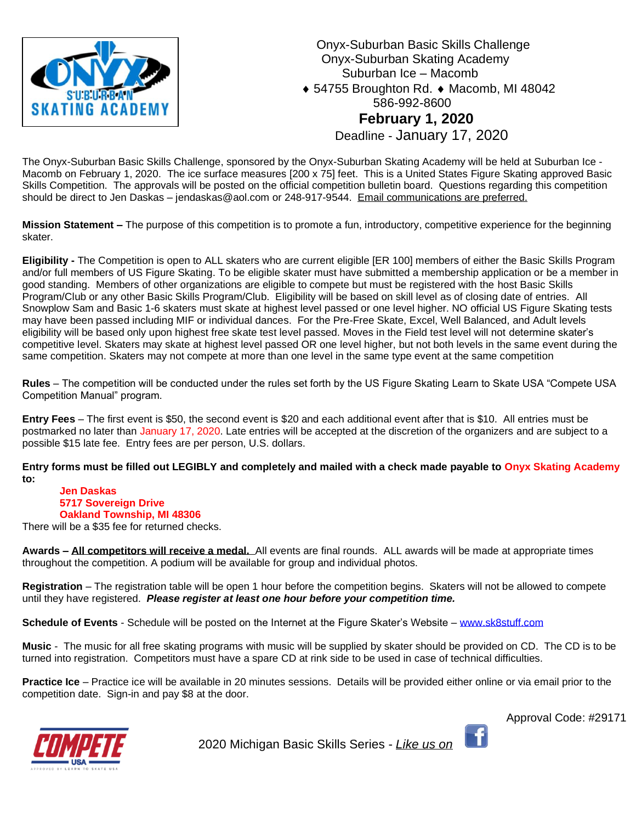

 Onyx-Suburban Basic Skills Challenge Onyx-Suburban Skating Academy Suburban Ice – Macomb ◆ 54755 Broughton Rd. ◆ Macomb, MI 48042 586-992-8600 **February 1, 2020** Deadline - January 17, 2020

The Onyx-Suburban Basic Skills Challenge, sponsored by the Onyx-Suburban Skating Academy will be held at Suburban Ice - Macomb on February 1, 2020. The ice surface measures [200 x 75] feet. This is a United States Figure Skating approved Basic Skills Competition. The approvals will be posted on the official competition bulletin board. Questions regarding this competition should be direct to Jen Daskas – jendaskas@aol.com or 248-917-9544. Email communications are preferred.

**Mission Statement –** The purpose of this competition is to promote a fun, introductory, competitive experience for the beginning skater.

**Eligibility -** The Competition is open to ALL skaters who are current eligible [ER 100] members of either the Basic Skills Program and/or full members of US Figure Skating. To be eligible skater must have submitted a membership application or be a member in good standing. Members of other organizations are eligible to compete but must be registered with the host Basic Skills Program/Club or any other Basic Skills Program/Club. Eligibility will be based on skill level as of closing date of entries. All Snowplow Sam and Basic 1-6 skaters must skate at highest level passed or one level higher. NO official US Figure Skating tests may have been passed including MIF or individual dances. For the Pre-Free Skate, Excel, Well Balanced, and Adult levels eligibility will be based only upon highest free skate test level passed. Moves in the Field test level will not determine skater's competitive level. Skaters may skate at highest level passed OR one level higher, but not both levels in the same event during the same competition. Skaters may not compete at more than one level in the same type event at the same competition

**Rules** – The competition will be conducted under the rules set forth by the US Figure Skating Learn to Skate USA "Compete USA Competition Manual" program.

**Entry Fees** – The first event is \$50, the second event is \$20 and each additional event after that is \$10. All entries must be postmarked no later than January 17, 2020. Late entries will be accepted at the discretion of the organizers and are subject to a possible \$15 late fee. Entry fees are per person, U.S. dollars.

**Entry forms must be filled out LEGIBLY and completely and mailed with a check made payable to Onyx Skating Academy to:**

### **Jen Daskas 5717 Sovereign Drive Oakland Township, MI 48306**

There will be a \$35 fee for returned checks.

**Awards – All competitors will receive a medal.** All events are final rounds. ALL awards will be made at appropriate times throughout the competition. A podium will be available for group and individual photos.

**Registration** – The registration table will be open 1 hour before the competition begins. Skaters will not be allowed to compete until they have registered. *Please register at least one hour before your competition time.* 

**Schedule of Events** - Schedule will be posted on the Internet at the Figure Skater's Website – [www.sk8stuff.com](http://www.sk8stuff.com/)

**Music** - The music for all free skating programs with music will be supplied by skater should be provided on CD. The CD is to be turned into registration. Competitors must have a spare CD at rink side to be used in case of technical difficulties.

**Practice Ice** – Practice ice will be available in 20 minutes sessions. Details will be provided either online or via email prior to the competition date. Sign-in and pay \$8 at the door.

Approval Code: #29171

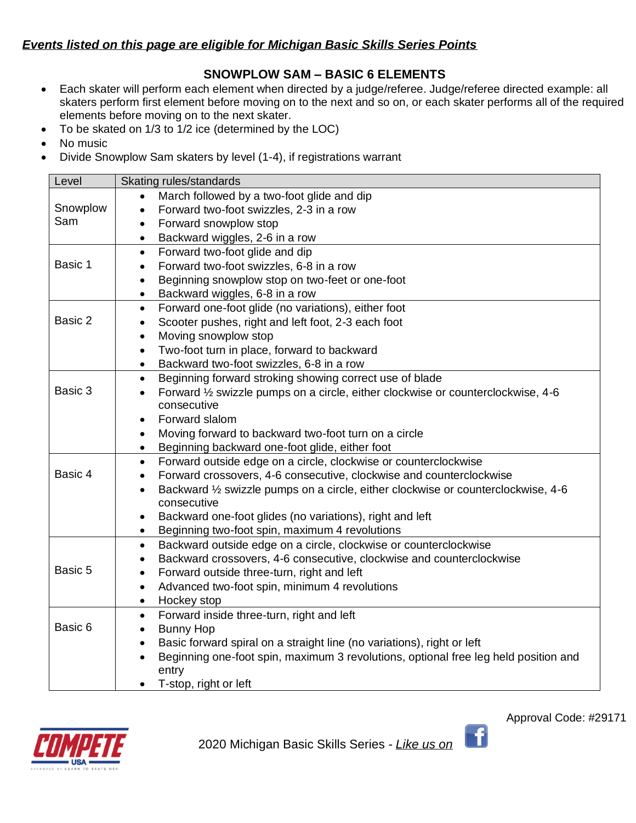### *Events listed on this page are eligible for Michigan Basic Skills Series Points*

## **SNOWPLOW SAM – BASIC 6 ELEMENTS**

- Each skater will perform each element when directed by a judge/referee. Judge/referee directed example: all skaters perform first element before moving on to the next and so on, or each skater performs all of the required elements before moving on to the next skater.
- To be skated on 1/3 to 1/2 ice (determined by the LOC)
- No music
- Divide Snowplow Sam skaters by level (1-4), if registrations warrant

| Level    | Skating rules/standards                                                                                                         |
|----------|---------------------------------------------------------------------------------------------------------------------------------|
|          | March followed by a two-foot glide and dip                                                                                      |
| Snowplow | Forward two-foot swizzles, 2-3 in a row<br>$\bullet$                                                                            |
| Sam      | Forward snowplow stop<br>$\bullet$                                                                                              |
|          | Backward wiggles, 2-6 in a row<br>$\bullet$                                                                                     |
|          | Forward two-foot glide and dip<br>$\bullet$                                                                                     |
| Basic 1  | Forward two-foot swizzles, 6-8 in a row<br>$\bullet$                                                                            |
|          | Beginning snowplow stop on two-feet or one-foot<br>$\bullet$                                                                    |
|          | Backward wiggles, 6-8 in a row<br>٠                                                                                             |
|          | Forward one-foot glide (no variations), either foot<br>$\bullet$                                                                |
| Basic 2  | Scooter pushes, right and left foot, 2-3 each foot<br>$\bullet$                                                                 |
|          | Moving snowplow stop<br>$\bullet$                                                                                               |
|          | Two-foot turn in place, forward to backward<br>$\bullet$                                                                        |
|          | Backward two-foot swizzles, 6-8 in a row<br>$\bullet$                                                                           |
|          | Beginning forward stroking showing correct use of blade<br>$\bullet$                                                            |
| Basic 3  | Forward 1/2 swizzle pumps on a circle, either clockwise or counterclockwise, 4-6<br>$\bullet$                                   |
|          | consecutive                                                                                                                     |
|          | Forward slalom<br>$\bullet$                                                                                                     |
|          | Moving forward to backward two-foot turn on a circle<br>$\bullet$                                                               |
|          | Beginning backward one-foot glide, either foot<br>$\bullet$                                                                     |
|          | Forward outside edge on a circle, clockwise or counterclockwise<br>$\bullet$                                                    |
| Basic 4  | Forward crossovers, 4-6 consecutive, clockwise and counterclockwise<br>$\bullet$                                                |
|          | Backward 1/2 swizzle pumps on a circle, either clockwise or counterclockwise, 4-6<br>$\bullet$                                  |
|          | consecutive                                                                                                                     |
|          | Backward one-foot glides (no variations), right and left<br>$\bullet$                                                           |
|          | Beginning two-foot spin, maximum 4 revolutions<br>$\bullet$                                                                     |
|          | Backward outside edge on a circle, clockwise or counterclockwise<br>$\bullet$                                                   |
| Basic 5  | Backward crossovers, 4-6 consecutive, clockwise and counterclockwise<br>$\bullet$<br>Forward outside three-turn, right and left |
|          | $\bullet$<br>Advanced two-foot spin, minimum 4 revolutions                                                                      |
|          | $\bullet$                                                                                                                       |
|          | Hockey stop<br>$\bullet$                                                                                                        |
| Basic 6  | Forward inside three-turn, right and left<br>$\bullet$<br><b>Bunny Hop</b>                                                      |
|          | $\bullet$<br>Basic forward spiral on a straight line (no variations), right or left<br>$\bullet$                                |
|          | Beginning one-foot spin, maximum 3 revolutions, optional free leg held position and<br>$\bullet$                                |
|          | entry                                                                                                                           |
|          | T-stop, right or left                                                                                                           |
|          |                                                                                                                                 |

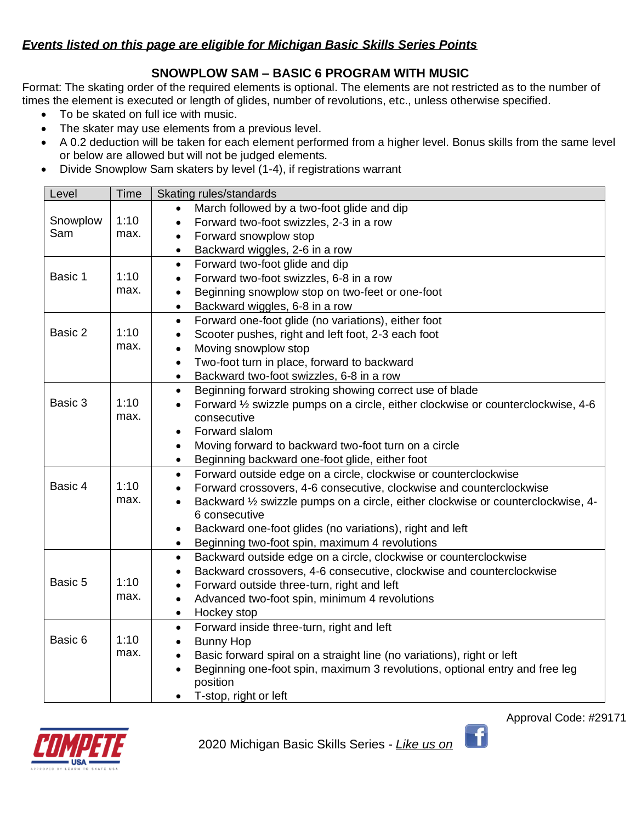## *Events listed on this page are eligible for Michigan Basic Skills Series Points*

### **SNOWPLOW SAM – BASIC 6 PROGRAM WITH MUSIC**

Format: The skating order of the required elements is optional. The elements are not restricted as to the number of times the element is executed or length of glides, number of revolutions, etc., unless otherwise specified.

- To be skated on full ice with music.
- The skater may use elements from a previous level.
- A 0.2 deduction will be taken for each element performed from a higher level. Bonus skills from the same level or below are allowed but will not be judged elements.
- Divide Snowplow Sam skaters by level (1-4), if registrations warrant

| Level    | Time | Skating rules/standards                                                                           |  |
|----------|------|---------------------------------------------------------------------------------------------------|--|
|          |      | March followed by a two-foot glide and dip                                                        |  |
| Snowplow | 1:10 | Forward two-foot swizzles, 2-3 in a row                                                           |  |
| Sam      | max. | Forward snowplow stop<br>$\bullet$                                                                |  |
|          |      | Backward wiggles, 2-6 in a row                                                                    |  |
|          |      | Forward two-foot glide and dip<br>$\bullet$                                                       |  |
| Basic 1  | 1:10 | Forward two-foot swizzles, 6-8 in a row<br>$\bullet$                                              |  |
|          | max. | Beginning snowplow stop on two-feet or one-foot                                                   |  |
|          |      | Backward wiggles, 6-8 in a row<br>$\bullet$                                                       |  |
|          |      | Forward one-foot glide (no variations), either foot<br>$\bullet$                                  |  |
| Basic 2  | 1:10 | Scooter pushes, right and left foot, 2-3 each foot<br>$\bullet$                                   |  |
|          | max. | Moving snowplow stop<br>$\bullet$                                                                 |  |
|          |      | Two-foot turn in place, forward to backward<br>$\bullet$                                          |  |
|          |      | Backward two-foot swizzles, 6-8 in a row<br>$\bullet$                                             |  |
|          |      | Beginning forward stroking showing correct use of blade<br>$\bullet$                              |  |
| Basic 3  | 1:10 | Forward 1/2 swizzle pumps on a circle, either clockwise or counterclockwise, 4-6                  |  |
|          | max. | consecutive                                                                                       |  |
|          |      | Forward slalom<br>$\bullet$                                                                       |  |
|          |      | Moving forward to backward two-foot turn on a circle<br>$\bullet$                                 |  |
|          |      | Beginning backward one-foot glide, either foot<br>$\bullet$                                       |  |
|          |      | Forward outside edge on a circle, clockwise or counterclockwise<br>$\bullet$                      |  |
| Basic 4  | 1:10 | Forward crossovers, 4-6 consecutive, clockwise and counterclockwise<br>$\bullet$                  |  |
|          | max. | Backward 1/2 swizzle pumps on a circle, either clockwise or counterclockwise, 4-<br>6 consecutive |  |
|          |      | Backward one-foot glides (no variations), right and left                                          |  |
|          |      | Beginning two-foot spin, maximum 4 revolutions<br>$\bullet$                                       |  |
|          |      | Backward outside edge on a circle, clockwise or counterclockwise<br>$\bullet$                     |  |
|          |      | Backward crossovers, 4-6 consecutive, clockwise and counterclockwise<br>$\bullet$                 |  |
| Basic 5  | 1:10 | Forward outside three-turn, right and left<br>$\bullet$                                           |  |
|          | max. | Advanced two-foot spin, minimum 4 revolutions<br>$\bullet$                                        |  |
|          |      | Hockey stop<br>$\bullet$                                                                          |  |
|          |      | Forward inside three-turn, right and left<br>$\bullet$                                            |  |
| Basic 6  | 1:10 | <b>Bunny Hop</b><br>$\bullet$                                                                     |  |
|          | max. | Basic forward spiral on a straight line (no variations), right or left<br>$\bullet$               |  |
|          |      | Beginning one-foot spin, maximum 3 revolutions, optional entry and free leg<br>$\bullet$          |  |
|          |      | position                                                                                          |  |
|          |      | T-stop, right or left                                                                             |  |



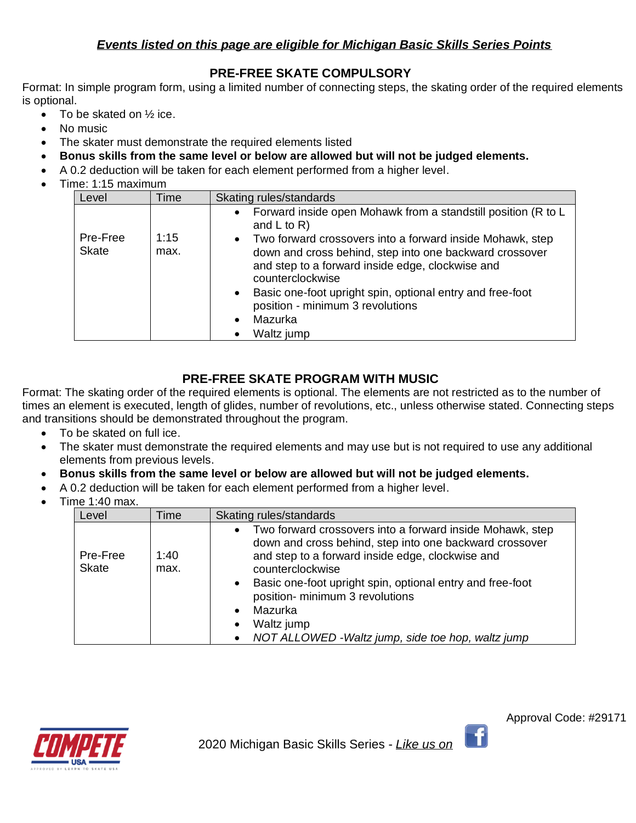## *Events listed on this page are eligible for Michigan Basic Skills Series Points*

### **PRE-FREE SKATE COMPULSORY**

Format: In simple program form, using a limited number of connecting steps, the skating order of the required elements is optional.

- To be skated on  $\frac{1}{2}$  ice.
- No music
- The skater must demonstrate the required elements listed
- **Bonus skills from the same level or below are allowed but will not be judged elements.**
- A 0.2 deduction will be taken for each element performed from a higher level.
- Time: 1:15 maximum

| Level                    | Time         | Skating rules/standards                                                                                                                                                                                                             |
|--------------------------|--------------|-------------------------------------------------------------------------------------------------------------------------------------------------------------------------------------------------------------------------------------|
| Pre-Free<br><b>Skate</b> | 1:15<br>max. | Forward inside open Mohawk from a standstill position (R to L<br>$\bullet$<br>and $L$ to $R$ )<br>Two forward crossovers into a forward inside Mohawk, step<br>$\bullet$<br>down and cross behind, step into one backward crossover |
|                          |              | and step to a forward inside edge, clockwise and<br>counterclockwise                                                                                                                                                                |
|                          |              | Basic one-foot upright spin, optional entry and free-foot<br>$\bullet$<br>position - minimum 3 revolutions                                                                                                                          |
|                          |              | Mazurka<br>$\bullet$                                                                                                                                                                                                                |
|                          |              | Waltz jump<br>$\bullet$                                                                                                                                                                                                             |

# **PRE-FREE SKATE PROGRAM WITH MUSIC**

Format: The skating order of the required elements is optional. The elements are not restricted as to the number of times an element is executed, length of glides, number of revolutions, etc., unless otherwise stated. Connecting steps and transitions should be demonstrated throughout the program.

- To be skated on full ice.
- The skater must demonstrate the required elements and may use but is not required to use any additional elements from previous levels.
- **Bonus skills from the same level or below are allowed but will not be judged elements.**
- A 0.2 deduction will be taken for each element performed from a higher level.
- Time 1:40 max.

| Level                    | Time         | Skating rules/standards                                                                                                                                                                                                                                                                                                                                                                                            |
|--------------------------|--------------|--------------------------------------------------------------------------------------------------------------------------------------------------------------------------------------------------------------------------------------------------------------------------------------------------------------------------------------------------------------------------------------------------------------------|
| Pre-Free<br><b>Skate</b> | 1:40<br>max. | Two forward crossovers into a forward inside Mohawk, step<br>$\bullet$<br>down and cross behind, step into one backward crossover<br>and step to a forward inside edge, clockwise and<br>counterclockwise<br>Basic one-foot upright spin, optional entry and free-foot<br>$\bullet$<br>position- minimum 3 revolutions<br>Mazurka<br>Waltz jump<br>$\bullet$<br>NOT ALLOWED - Waltz jump, side toe hop, waltz jump |



Ŧ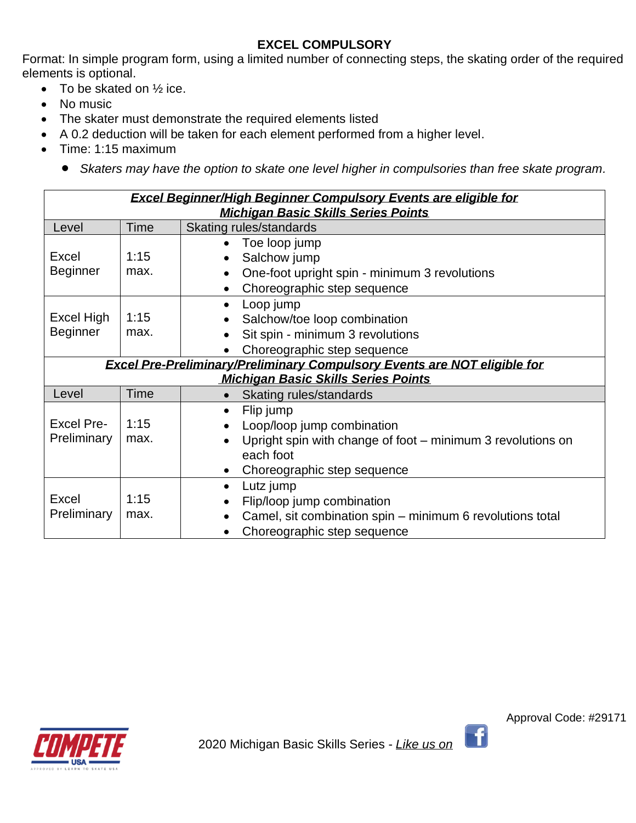# **EXCEL COMPULSORY**

Format: In simple program form, using a limited number of connecting steps, the skating order of the required elements is optional.

- To be skated on  $\frac{1}{2}$  ice.
- No music
- The skater must demonstrate the required elements listed
- A 0.2 deduction will be taken for each element performed from a higher level.
- Time: 1:15 maximum
	- *Skaters may have the option to skate one level higher in compulsories than free skate program.*

| <b>Excel Beginner/High Beginner Compulsory Events are eligible for</b><br><b>Michigan Basic Skills Series Points</b> |             |                                                                                 |
|----------------------------------------------------------------------------------------------------------------------|-------------|---------------------------------------------------------------------------------|
| Level                                                                                                                | Time        | Skating rules/standards                                                         |
|                                                                                                                      |             | Toe loop jump<br>$\bullet$                                                      |
| <b>Excel</b>                                                                                                         | 1:15        | Salchow jump<br>$\bullet$                                                       |
| <b>Beginner</b>                                                                                                      | max.        | One-foot upright spin - minimum 3 revolutions                                   |
|                                                                                                                      |             | Choreographic step sequence<br>$\bullet$                                        |
|                                                                                                                      |             | Loop jump<br>$\bullet$                                                          |
| <b>Excel High</b>                                                                                                    | 1:15        | Salchow/toe loop combination                                                    |
| <b>Beginner</b>                                                                                                      | max.        | Sit spin - minimum 3 revolutions                                                |
|                                                                                                                      |             | Choreographic step sequence                                                     |
|                                                                                                                      |             | <b>Excel Pre-Preliminary/Preliminary Compulsory Events are NOT eligible for</b> |
|                                                                                                                      |             | <b>Michigan Basic Skills Series Points</b>                                      |
| Level                                                                                                                | <b>Time</b> | Skating rules/standards<br>$\bullet$                                            |
|                                                                                                                      |             | Flip jump<br>$\bullet$                                                          |
| <b>Excel Pre-</b>                                                                                                    | 1:15        | Loop/loop jump combination                                                      |
| Preliminary                                                                                                          | max.        | Upright spin with change of foot – minimum 3 revolutions on<br>$\bullet$        |
|                                                                                                                      |             | each foot                                                                       |
|                                                                                                                      |             | Choreographic step sequence                                                     |
|                                                                                                                      |             | Lutz jump<br>$\bullet$                                                          |
| Excel                                                                                                                | 1:15        | Flip/loop jump combination                                                      |
| Preliminary                                                                                                          | max.        | Camel, sit combination spin - minimum 6 revolutions total                       |
|                                                                                                                      |             | Choreographic step sequence                                                     |



Approval Code: #29171

 $\lceil \cdot \rceil$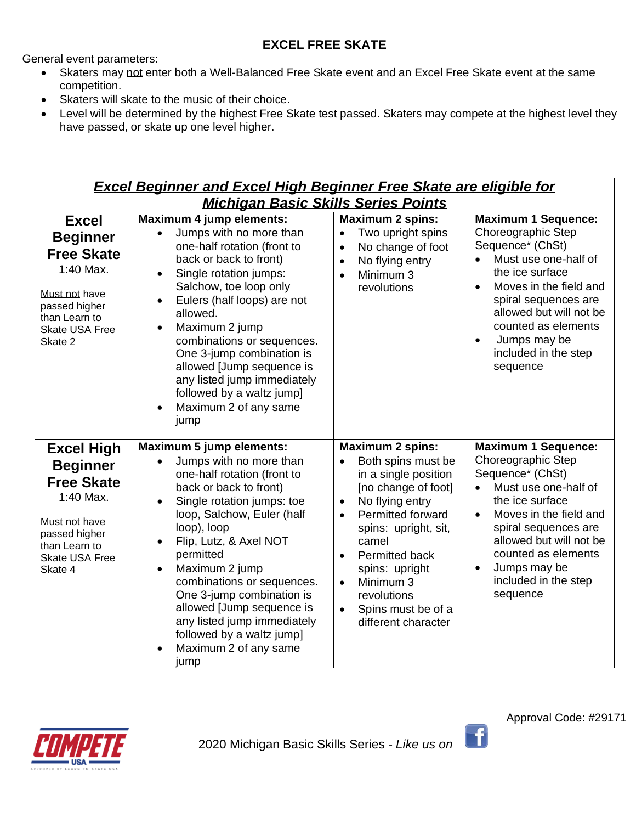# **EXCEL FREE SKATE**

General event parameters:

- Skaters may not enter both a Well-Balanced Free Skate event and an Excel Free Skate event at the same competition.
- Skaters will skate to the music of their choice.
- Level will be determined by the highest Free Skate test passed. Skaters may compete at the highest level they have passed, or skate up one level higher.

| <b>Excel Beginner and Excel High Beginner Free Skate are eligible for</b>                                                                                     |                                                                                                                                                                                                                                                                                                                                                                                                                                                                        |                                                                                                                                                                                                                                                                                                                                                                         |                                                                                                                                                                                                                                                                                                                |  |  |
|---------------------------------------------------------------------------------------------------------------------------------------------------------------|------------------------------------------------------------------------------------------------------------------------------------------------------------------------------------------------------------------------------------------------------------------------------------------------------------------------------------------------------------------------------------------------------------------------------------------------------------------------|-------------------------------------------------------------------------------------------------------------------------------------------------------------------------------------------------------------------------------------------------------------------------------------------------------------------------------------------------------------------------|----------------------------------------------------------------------------------------------------------------------------------------------------------------------------------------------------------------------------------------------------------------------------------------------------------------|--|--|
|                                                                                                                                                               | <b>Michigan Basic Skills Series Points</b>                                                                                                                                                                                                                                                                                                                                                                                                                             |                                                                                                                                                                                                                                                                                                                                                                         |                                                                                                                                                                                                                                                                                                                |  |  |
| <b>Excel</b><br><b>Beginner</b><br><b>Free Skate</b><br>1:40 Max.<br>Must not have<br>passed higher<br>than Learn to<br><b>Skate USA Free</b><br>Skate 2      | Maximum 4 jump elements:<br>Jumps with no more than<br>one-half rotation (front to<br>back or back to front)<br>Single rotation jumps:<br>Salchow, toe loop only<br>Eulers (half loops) are not<br>allowed.<br>Maximum 2 jump<br>$\bullet$<br>combinations or sequences.<br>One 3-jump combination is<br>allowed [Jump sequence is<br>any listed jump immediately<br>followed by a waltz jump]<br>Maximum 2 of any same<br>jump                                        | <b>Maximum 2 spins:</b><br>Two upright spins<br>$\bullet$<br>No change of foot<br>$\bullet$<br>No flying entry<br>$\bullet$<br>Minimum 3<br>$\bullet$<br>revolutions                                                                                                                                                                                                    | <b>Maximum 1 Sequence:</b><br>Choreographic Step<br>Sequence* (ChSt)<br>Must use one-half of<br>the ice surface<br>Moves in the field and<br>$\bullet$<br>spiral sequences are<br>allowed but will not be<br>counted as elements<br>Jumps may be<br>$\bullet$<br>included in the step<br>sequence              |  |  |
| <b>Excel High</b><br><b>Beginner</b><br><b>Free Skate</b><br>1:40 Max.<br>Must not have<br>passed higher<br>than Learn to<br><b>Skate USA Free</b><br>Skate 4 | <b>Maximum 5 jump elements:</b><br>Jumps with no more than<br>$\bullet$<br>one-half rotation (front to<br>back or back to front)<br>Single rotation jumps: toe<br>loop, Salchow, Euler (half<br>loop), loop<br>Flip, Lutz, & Axel NOT<br>permitted<br>Maximum 2 jump<br>$\bullet$<br>combinations or sequences.<br>One 3-jump combination is<br>allowed [Jump sequence is<br>any listed jump immediately<br>followed by a waltz jump]<br>Maximum 2 of any same<br>jump | <b>Maximum 2 spins:</b><br>Both spins must be<br>$\bullet$<br>in a single position<br>[no change of foot]<br>No flying entry<br>$\bullet$<br>Permitted forward<br>$\bullet$<br>spins: upright, sit,<br>camel<br><b>Permitted back</b><br>$\bullet$<br>spins: upright<br>Minimum 3<br>$\bullet$<br>revolutions<br>Spins must be of a<br>$\bullet$<br>different character | <b>Maximum 1 Sequence:</b><br>Choreographic Step<br>Sequence* (ChSt)<br>Must use one-half of<br>$\bullet$<br>the ice surface<br>Moves in the field and<br>$\bullet$<br>spiral sequences are<br>allowed but will not be<br>counted as elements<br>Jumps may be<br>$\bullet$<br>included in the step<br>sequence |  |  |

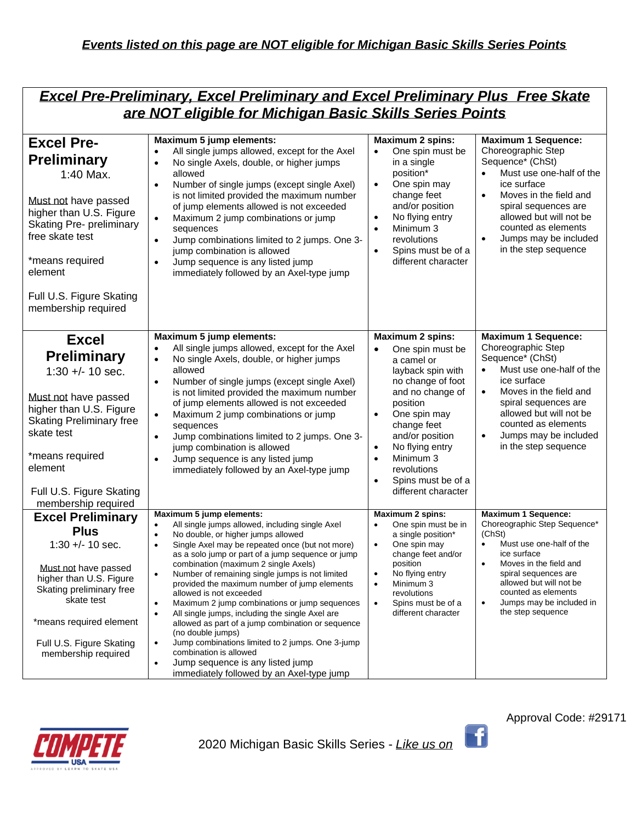| <b>Excel Pre-Preliminary, Excel Preliminary and Excel Preliminary Plus Free Skate</b> |
|---------------------------------------------------------------------------------------|
|                                                                                       |
| are NOT eligible for Michigan Basic Skills Series Points                              |

| <b>Excel Pre-</b><br><b>Preliminary</b><br>1:40 Max.<br>Must not have passed<br>higher than U.S. Figure<br><b>Skating Pre- preliminary</b><br>free skate test<br>*means required<br>element<br>Full U.S. Figure Skating<br>membership required | Maximum 5 jump elements:<br>All single jumps allowed, except for the Axel<br>$\bullet$<br>No single Axels, double, or higher jumps<br>$\bullet$<br>allowed<br>Number of single jumps (except single Axel)<br>$\bullet$<br>is not limited provided the maximum number<br>of jump elements allowed is not exceeded<br>Maximum 2 jump combinations or jump<br>$\bullet$<br>sequences<br>Jump combinations limited to 2 jumps. One 3-<br>$\bullet$<br>jump combination is allowed<br>Jump sequence is any listed jump<br>immediately followed by an Axel-type jump                                                                                                           | <b>Maximum 2 spins:</b><br>One spin must be<br>$\bullet$<br>in a single<br>position*<br>One spin may<br>$\bullet$<br>change feet<br>and/or position<br>No flying entry<br>$\bullet$<br>Minimum 3<br>$\bullet$<br>revolutions<br>Spins must be of a<br>$\bullet$<br>different character                                                             | <b>Maximum 1 Sequence:</b><br>Choreographic Step<br>Sequence* (ChSt)<br>Must use one-half of the<br>$\bullet$<br>ice surface<br>Moves in the field and<br>$\bullet$<br>spiral sequences are<br>allowed but will not be<br>counted as elements<br>Jumps may be included<br>$\bullet$<br>in the step sequence |
|------------------------------------------------------------------------------------------------------------------------------------------------------------------------------------------------------------------------------------------------|--------------------------------------------------------------------------------------------------------------------------------------------------------------------------------------------------------------------------------------------------------------------------------------------------------------------------------------------------------------------------------------------------------------------------------------------------------------------------------------------------------------------------------------------------------------------------------------------------------------------------------------------------------------------------|----------------------------------------------------------------------------------------------------------------------------------------------------------------------------------------------------------------------------------------------------------------------------------------------------------------------------------------------------|-------------------------------------------------------------------------------------------------------------------------------------------------------------------------------------------------------------------------------------------------------------------------------------------------------------|
| <b>Excel</b><br><b>Preliminary</b><br>$1:30 +/- 10$ sec.<br>Must not have passed<br>higher than U.S. Figure<br><b>Skating Preliminary free</b><br>skate test<br>*means required<br>element<br>Full U.S. Figure Skating<br>membership required  | Maximum 5 jump elements:<br>All single jumps allowed, except for the Axel<br>No single Axels, double, or higher jumps<br>$\bullet$<br>allowed<br>Number of single jumps (except single Axel)<br>$\bullet$<br>is not limited provided the maximum number<br>of jump elements allowed is not exceeded<br>Maximum 2 jump combinations or jump<br>$\bullet$<br>sequences<br>Jump combinations limited to 2 jumps. One 3-<br>$\bullet$<br>jump combination is allowed<br>Jump sequence is any listed jump<br>$\bullet$<br>immediately followed by an Axel-type jump                                                                                                           | <b>Maximum 2 spins:</b><br>One spin must be<br>$\bullet$<br>a camel or<br>layback spin with<br>no change of foot<br>and no change of<br>position<br>One spin may<br>$\bullet$<br>change feet<br>and/or position<br>No flying entry<br>$\bullet$<br>Minimum 3<br>$\bullet$<br>revolutions<br>Spins must be of a<br>$\bullet$<br>different character | <b>Maximum 1 Sequence:</b><br>Choreographic Step<br>Sequence* (ChSt)<br>Must use one-half of the<br>ice surface<br>Moves in the field and<br>$\bullet$<br>spiral sequences are<br>allowed but will not be<br>counted as elements<br>Jumps may be included<br>in the step sequence                           |
| <b>Excel Preliminary</b><br><b>Plus</b>                                                                                                                                                                                                        | Maximum 5 jump elements:<br>All single jumps allowed, including single Axel<br>$\bullet$<br>No double, or higher jumps allowed<br>$\bullet$                                                                                                                                                                                                                                                                                                                                                                                                                                                                                                                              | Maximum 2 spins:<br>One spin must be in<br>a single position*                                                                                                                                                                                                                                                                                      | <b>Maximum 1 Sequence:</b><br>Choreographic Step Sequence*<br>(ChSt)                                                                                                                                                                                                                                        |
| $1:30 +/- 10$ sec.<br>Must not have passed<br>higher than U.S. Figure<br>Skating preliminary free<br>skate test<br>*means required element<br>Full U.S. Figure Skating<br>membership required                                                  | Single Axel may be repeated once (but not more)<br>$\bullet$<br>as a solo jump or part of a jump sequence or jump<br>combination (maximum 2 single Axels)<br>Number of remaining single jumps is not limited<br>٠<br>provided the maximum number of jump elements<br>allowed is not exceeded<br>Maximum 2 jump combinations or jump sequences<br>$\bullet$<br>All single jumps, including the single Axel are<br>allowed as part of a jump combination or sequence<br>(no double jumps)<br>Jump combinations limited to 2 jumps. One 3-jump<br>٠<br>combination is allowed<br>Jump sequence is any listed jump<br>$\bullet$<br>immediately followed by an Axel-type jump | One spin may<br>$\bullet$<br>change feet and/or<br>position<br>No flying entry<br>$\bullet$<br>Minimum 3<br>$\bullet$<br>revolutions<br>Spins must be of a<br>$\bullet$<br>different character                                                                                                                                                     | Must use one-half of the<br>ice surface<br>Moves in the field and<br>$\bullet$<br>spiral sequences are<br>allowed but will not be<br>counted as elements<br>Jumps may be included in<br>the step sequence                                                                                                   |



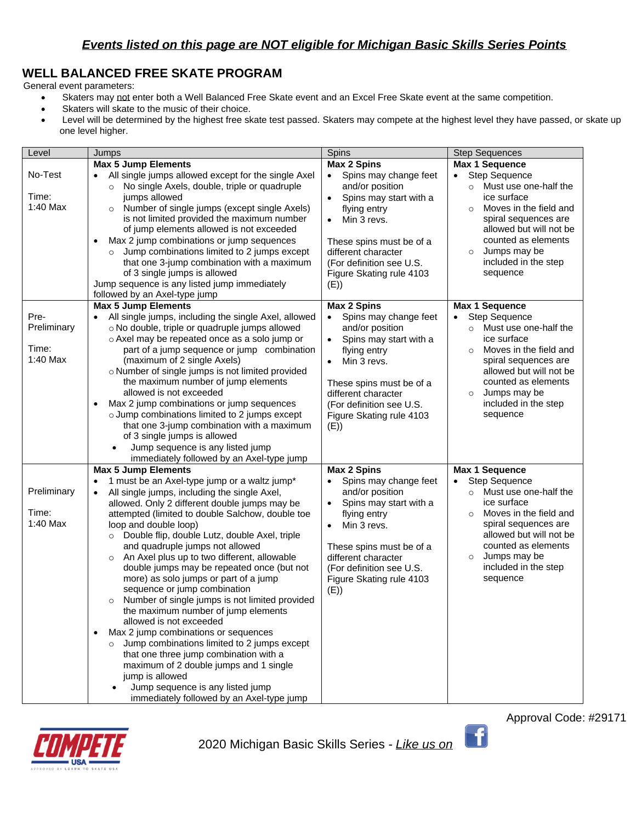# **WELL BALANCED FREE SKATE PROGRAM**

General event parameters:

- Skaters may not enter both a Well Balanced Free Skate event and an Excel Free Skate event at the same competition.
- Skaters will skate to the music of their choice.
- Level will be determined by the highest free skate test passed. Skaters may compete at the highest level they have passed, or skate up one level higher.

| Level                                    | Jumps                                                                                                                                                                                                                                                                                                                                                                                                                                                                                                                                                                                                                                                                                                                                                                                                                                                                                                                                            | Spins                                                                                                                                                                                                                                                                            | <b>Step Sequences</b>                                                                                                                                                                                                                                           |
|------------------------------------------|--------------------------------------------------------------------------------------------------------------------------------------------------------------------------------------------------------------------------------------------------------------------------------------------------------------------------------------------------------------------------------------------------------------------------------------------------------------------------------------------------------------------------------------------------------------------------------------------------------------------------------------------------------------------------------------------------------------------------------------------------------------------------------------------------------------------------------------------------------------------------------------------------------------------------------------------------|----------------------------------------------------------------------------------------------------------------------------------------------------------------------------------------------------------------------------------------------------------------------------------|-----------------------------------------------------------------------------------------------------------------------------------------------------------------------------------------------------------------------------------------------------------------|
|                                          | <b>Max 5 Jump Elements</b>                                                                                                                                                                                                                                                                                                                                                                                                                                                                                                                                                                                                                                                                                                                                                                                                                                                                                                                       | <b>Max 2 Spins</b>                                                                                                                                                                                                                                                               | Max 1 Sequence                                                                                                                                                                                                                                                  |
| No-Test<br>Time:<br>1:40 Max             | All single jumps allowed except for the single Axel<br>No single Axels, double, triple or quadruple<br>$\circ$<br>jumps allowed<br>Number of single jumps (except single Axels)<br>$\circ$<br>is not limited provided the maximum number<br>of jump elements allowed is not exceeded<br>Max 2 jump combinations or jump sequences<br>Jump combinations limited to 2 jumps except<br>$\circ$<br>that one 3-jump combination with a maximum<br>of 3 single jumps is allowed<br>Jump sequence is any listed jump immediately                                                                                                                                                                                                                                                                                                                                                                                                                        | Spins may change feet<br>$\bullet$<br>and/or position<br>Spins may start with a<br>$\bullet$<br>flying entry<br>Min 3 revs.<br>$\bullet$<br>These spins must be of a<br>different character<br>(For definition see U.S.<br>Figure Skating rule 4103<br>(E)                       | Step Sequence<br>$\bullet$<br>Must use one-half the<br>$\circ$<br>ice surface<br>Moves in the field and<br>spiral sequences are<br>allowed but will not be<br>counted as elements<br>Jumps may be<br>$\circ$<br>included in the step<br>sequence                |
|                                          | followed by an Axel-type jump                                                                                                                                                                                                                                                                                                                                                                                                                                                                                                                                                                                                                                                                                                                                                                                                                                                                                                                    |                                                                                                                                                                                                                                                                                  |                                                                                                                                                                                                                                                                 |
| Pre-<br>Preliminary<br>Time:<br>1:40 Max | <b>Max 5 Jump Elements</b><br>All single jumps, including the single Axel, allowed<br>$\bullet$<br>o No double, triple or quadruple jumps allowed<br>o Axel may be repeated once as a solo jump or<br>part of a jump sequence or jump combination<br>(maximum of 2 single Axels)<br>o Number of single jumps is not limited provided<br>the maximum number of jump elements<br>allowed is not exceeded<br>Max 2 jump combinations or jump sequences<br>o Jump combinations limited to 2 jumps except<br>that one 3-jump combination with a maximum<br>of 3 single jumps is allowed<br>Jump sequence is any listed jump<br>$\bullet$<br>immediately followed by an Axel-type jump                                                                                                                                                                                                                                                                 | <b>Max 2 Spins</b><br>Spins may change feet<br>$\bullet$<br>and/or position<br>Spins may start with a<br>$\bullet$<br>flying entry<br>Min 3 revs.<br>$\bullet$<br>These spins must be of a<br>different character<br>(For definition see U.S.<br>Figure Skating rule 4103<br>(E) | Max 1 Sequence<br><b>Step Sequence</b><br>$\bullet$<br>Must use one-half the<br>ice surface<br>Moves in the field and<br>$\Omega$<br>spiral sequences are<br>allowed but will not be<br>counted as elements<br>Jumps may be<br>included in the step<br>sequence |
|                                          | <b>Max 5 Jump Elements</b>                                                                                                                                                                                                                                                                                                                                                                                                                                                                                                                                                                                                                                                                                                                                                                                                                                                                                                                       | <b>Max 2 Spins</b>                                                                                                                                                                                                                                                               | <b>Max 1 Sequence</b>                                                                                                                                                                                                                                           |
| Preliminary<br>Time:<br>1:40 Max         | 1 must be an Axel-type jump or a waltz jump*<br>All single jumps, including the single Axel,<br>$\bullet$<br>allowed. Only 2 different double jumps may be<br>attempted (limited to double Salchow, double toe<br>loop and double loop)<br>Double flip, double Lutz, double Axel, triple<br>$\circ$<br>and quadruple jumps not allowed<br>An Axel plus up to two different, allowable<br>$\circ$<br>double jumps may be repeated once (but not<br>more) as solo jumps or part of a jump<br>sequence or jump combination<br>Number of single jumps is not limited provided<br>$\circ$<br>the maximum number of jump elements<br>allowed is not exceeded<br>Max 2 jump combinations or sequences<br>Jump combinations limited to 2 jumps except<br>$\circ$<br>that one three jump combination with a<br>maximum of 2 double jumps and 1 single<br>jump is allowed<br>Jump sequence is any listed jump<br>immediately followed by an Axel-type jump | Spins may change feet<br>$\bullet$<br>and/or position<br>Spins may start with a<br>$\bullet$<br>flying entry<br>Min 3 revs.<br>$\bullet$<br>These spins must be of a<br>different character<br>(For definition see U.S.<br>Figure Skating rule 4103<br>(E))                      | <b>Step Sequence</b><br>Must use one-half the<br>$\circ$<br>ice surface<br>Moves in the field and<br>$\circ$<br>spiral sequences are<br>allowed but will not be<br>counted as elements<br>Jumps may be<br>$\circ$<br>included in the step<br>sequence           |



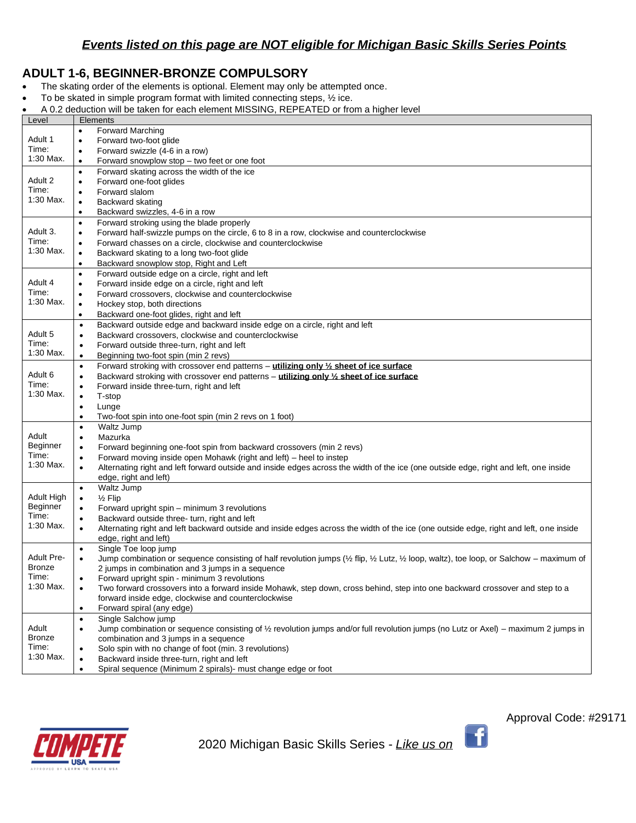### **ADULT 1-6, BEGINNER-BRONZE COMPULSORY**

- The skating order of the elements is optional. Element may only be attempted once.
- To be skated in simple program format with limited connecting steps, ½ ice.
- A 0.2 deduction will be taken for each element MISSING, REPEATED or from a higher level

| Level             | Elements                                                                                                                                            |
|-------------------|-----------------------------------------------------------------------------------------------------------------------------------------------------|
|                   | <b>Forward Marching</b><br>$\bullet$                                                                                                                |
| Adult 1           | Forward two-foot glide<br>٠                                                                                                                         |
| Time:             | Forward swizzle (4-6 in a row)<br>$\bullet$                                                                                                         |
| 1:30 Max.         | Forward snowplow stop - two feet or one foot<br>$\bullet$                                                                                           |
|                   | Forward skating across the width of the ice<br>$\bullet$                                                                                            |
| Adult 2           | Forward one-foot glides<br>$\bullet$                                                                                                                |
| Time:             | Forward slalom<br>$\bullet$                                                                                                                         |
| 1:30 Max.         | Backward skating<br>$\bullet$                                                                                                                       |
|                   | Backward swizzles, 4-6 in a row<br>$\bullet$                                                                                                        |
|                   | Forward stroking using the blade properly<br>$\bullet$                                                                                              |
| Adult 3.          | Forward half-swizzle pumps on the circle, 6 to 8 in a row, clockwise and counterclockwise<br>٠                                                      |
| Time:             | Forward chasses on a circle, clockwise and counterclockwise<br>٠                                                                                    |
| 1:30 Max.         | Backward skating to a long two-foot glide<br>٠                                                                                                      |
|                   | Backward snowplow stop, Right and Left<br>$\bullet$                                                                                                 |
|                   | Forward outside edge on a circle, right and left<br>$\bullet$                                                                                       |
| Adult 4           | Forward inside edge on a circle, right and left<br>٠                                                                                                |
| Time:             | Forward crossovers, clockwise and counterclockwise<br>$\bullet$                                                                                     |
| 1:30 Max.         | Hockey stop, both directions<br>$\bullet$                                                                                                           |
|                   | Backward one-foot glides, right and left<br>٠                                                                                                       |
|                   | Backward outside edge and backward inside edge on a circle, right and left<br>$\bullet$                                                             |
| Adult 5           | Backward crossovers, clockwise and counterclockwise<br>$\bullet$                                                                                    |
| Time:             | Forward outside three-turn, right and left<br>٠                                                                                                     |
| $1:30$ Max.       | Beginning two-foot spin (min 2 revs)<br>$\bullet$                                                                                                   |
|                   | Forward stroking with crossover end patterns - utilizing only 1/2 sheet of ice surface                                                              |
| Adult 6           | $\bullet$                                                                                                                                           |
| Time:             | Backward stroking with crossover end patterns - utilizing only 1/2 sheet of ice surface<br>٠<br>Forward inside three-turn, right and left           |
| 1:30 Max.         | $\bullet$<br>T-stop                                                                                                                                 |
|                   | $\bullet$<br>Lunge<br>$\bullet$                                                                                                                     |
|                   | Two-foot spin into one-foot spin (min 2 revs on 1 foot)<br>٠                                                                                        |
|                   | Waltz Jump<br>$\bullet$                                                                                                                             |
| Adult             | Mazurka<br>$\bullet$                                                                                                                                |
| Beginner          | Forward beginning one-foot spin from backward crossovers (min 2 revs)<br>٠                                                                          |
| Time:             | Forward moving inside open Mohawk (right and left) – heel to instep<br>٠                                                                            |
| 1:30 Max.         | Alternating right and left forward outside and inside edges across the width of the ice (one outside edge, right and left, one inside<br>$\bullet$  |
|                   | edge, right and left)                                                                                                                               |
|                   | Waltz Jump<br>$\bullet$                                                                                                                             |
| Adult High        | $\frac{1}{2}$ Flip<br>٠                                                                                                                             |
| Beginner          | Forward upright spin – minimum 3 revolutions<br>$\bullet$                                                                                           |
| Time:             | Backward outside three- turn, right and left<br>$\bullet$                                                                                           |
| 1:30 Max.         | Alternating right and left backward outside and inside edges across the width of the ice (one outside edge, right and left, one inside<br>$\bullet$ |
|                   | edge, right and left)                                                                                                                               |
|                   | Single Toe loop jump<br>$\bullet$                                                                                                                   |
| <b>Adult Pre-</b> | Jump combination or sequence consisting of half revolution jumps (1/2 flip, 1/2 Lutz, 1/2 loop, waltz), toe loop, or Salchow - maximum of           |
| <b>Bronze</b>     | 2 jumps in combination and 3 jumps in a sequence                                                                                                    |
| Time:             | Forward upright spin - minimum 3 revolutions<br>٠                                                                                                   |
| 1:30 Max.         | Two forward crossovers into a forward inside Mohawk, step down, cross behind, step into one backward crossover and step to a                        |
|                   | forward inside edge, clockwise and counterclockwise                                                                                                 |
|                   | Forward spiral (any edge)<br>٠                                                                                                                      |
|                   | Single Salchow jump<br>$\bullet$                                                                                                                    |
| Adult             | Jump combination or sequence consisting of 1/2 revolution jumps and/or full revolution jumps (no Lutz or Axel) – maximum 2 jumps in<br>٠            |
| Bronze            | combination and 3 jumps in a sequence                                                                                                               |
| Time:             | Solo spin with no change of foot (min. 3 revolutions)<br>٠                                                                                          |
| 1:30 Max.         | Backward inside three-turn, right and left                                                                                                          |
|                   | Spiral sequence (Minimum 2 spirals)- must change edge or foot                                                                                       |



2020 Michigan Basic Skills Series - *Like us on* 

 $\begin{pmatrix} 1 \end{pmatrix}$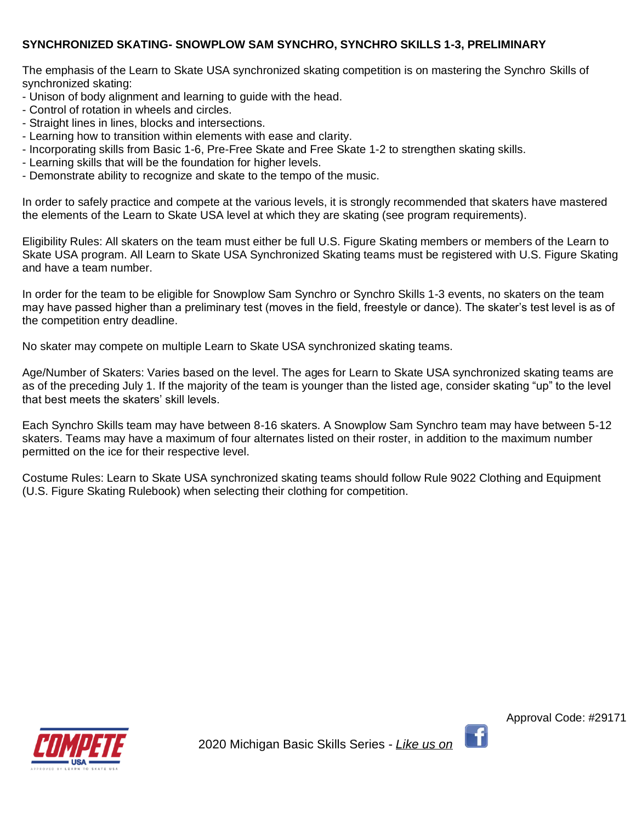### **SYNCHRONIZED SKATING- SNOWPLOW SAM SYNCHRO, SYNCHRO SKILLS 1-3, PRELIMINARY**

The emphasis of the Learn to Skate USA synchronized skating competition is on mastering the Synchro Skills of synchronized skating:

- Unison of body alignment and learning to guide with the head.
- Control of rotation in wheels and circles.
- Straight lines in lines, blocks and intersections.
- Learning how to transition within elements with ease and clarity.
- Incorporating skills from Basic 1-6, Pre-Free Skate and Free Skate 1-2 to strengthen skating skills.
- Learning skills that will be the foundation for higher levels.
- Demonstrate ability to recognize and skate to the tempo of the music.

In order to safely practice and compete at the various levels, it is strongly recommended that skaters have mastered the elements of the Learn to Skate USA level at which they are skating (see program requirements).

Eligibility Rules: All skaters on the team must either be full U.S. Figure Skating members or members of the Learn to Skate USA program. All Learn to Skate USA Synchronized Skating teams must be registered with U.S. Figure Skating and have a team number.

In order for the team to be eligible for Snowplow Sam Synchro or Synchro Skills 1-3 events, no skaters on the team may have passed higher than a preliminary test (moves in the field, freestyle or dance). The skater's test level is as of the competition entry deadline.

No skater may compete on multiple Learn to Skate USA synchronized skating teams.

Age/Number of Skaters: Varies based on the level. The ages for Learn to Skate USA synchronized skating teams are as of the preceding July 1. If the majority of the team is younger than the listed age, consider skating "up" to the level that best meets the skaters' skill levels.

Each Synchro Skills team may have between 8-16 skaters. A Snowplow Sam Synchro team may have between 5-12 skaters. Teams may have a maximum of four alternates listed on their roster, in addition to the maximum number permitted on the ice for their respective level.

Costume Rules: Learn to Skate USA synchronized skating teams should follow Rule 9022 Clothing and Equipment (U.S. Figure Skating Rulebook) when selecting their clothing for competition.

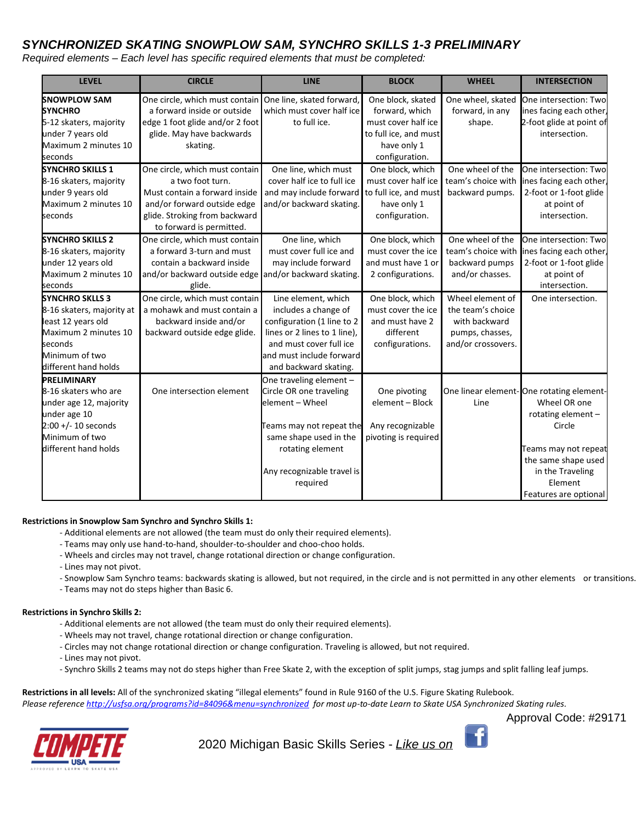### *SYNCHRONIZED SKATING SNOWPLOW SAM, SYNCHRO SKILLS 1-3 PRELIMINARY*

*Required elements – Each level has specific required elements that must be completed:*

| <b>LEVEL</b>              | <b>CIRCLE</b>                                            | <b>LINE</b>                  | <b>BLOCK</b>          | <b>WHEEL</b>       | <b>INTERSECTION</b>                      |
|---------------------------|----------------------------------------------------------|------------------------------|-----------------------|--------------------|------------------------------------------|
| <b>SNOWPLOW SAM</b>       | One circle, which must contain One line, skated forward, |                              | One block, skated     | One wheel, skated  | One intersection: Two                    |
| <b>SYNCHRO</b>            | a forward inside or outside                              | which must cover half ice    | forward, which        | forward, in any    | ines facing each other,                  |
| 5-12 skaters, majority    | edge 1 foot glide and/or 2 foot                          | to full ice.                 | must cover half ice   | shape.             | 2-foot glide at point of                 |
| under 7 years old         | glide. May have backwards                                |                              | to full ice, and must |                    | intersection.                            |
| Maximum 2 minutes 10      | skating.                                                 |                              | have only 1           |                    |                                          |
| seconds                   |                                                          |                              | configuration.        |                    |                                          |
| <b>SYNCHRO SKILLS 1</b>   | One circle, which must contain                           | One line, which must         | One block, which      | One wheel of the   | One intersection: Two                    |
| 8-16 skaters, majority    | a two foot turn.                                         | cover half ice to full ice   | must cover half ice   | team's choice with | ines facing each other,                  |
| under 9 years old         | Must contain a forward inside                            | and may include forward      | to full ice, and must | backward pumps.    | 2-foot or 1-foot glide                   |
| Maximum 2 minutes 10      | and/or forward outside edge                              | and/or backward skating.     | have only 1           |                    | at point of                              |
| seconds                   | glide. Stroking from backward                            |                              | configuration.        |                    | intersection.                            |
|                           | to forward is permitted.                                 |                              |                       |                    |                                          |
| <b>SYNCHRO SKILLS 2</b>   | One circle, which must contain                           | One line, which              | One block, which      | One wheel of the   | One intersection: Two                    |
| 8-16 skaters, majority    | a forward 3-turn and must                                | must cover full ice and      | must cover the ice    | team's choice with | ines facing each other                   |
| under 12 years old        | contain a backward inside                                | may include forward          | and must have 1 or    | backward pumps     | 2-foot or 1-foot glide                   |
| Maximum 2 minutes 10      | and/or backward outside edge and/or backward skating.    |                              | 2 configurations.     | and/or chasses.    | at point of                              |
| seconds                   | glide.                                                   |                              |                       |                    | intersection.                            |
| <b>SYNCHRO SKLLS 3</b>    | One circle, which must contain                           | Line element, which          | One block, which      | Wheel element of   | One intersection.                        |
| 8-16 skaters, majority at | a mohawk and must contain a                              | includes a change of         | must cover the ice    | the team's choice  |                                          |
| least 12 years old        | backward inside and/or                                   | configuration (1 line to 2   | and must have 2       | with backward      |                                          |
| Maximum 2 minutes 10      | backward outside edge glide.                             | lines or 2 lines to 1 line), | different             | pumps, chasses,    |                                          |
| seconds                   |                                                          | and must cover full ice      | configurations.       | and/or crossovers. |                                          |
| Minimum of two            |                                                          | and must include forward     |                       |                    |                                          |
| different hand holds      |                                                          | and backward skating.        |                       |                    |                                          |
| PRELIMINARY               |                                                          | One traveling element -      |                       |                    |                                          |
| 8-16 skaters who are      | One intersection element                                 | Circle OR one traveling      | One pivoting          |                    | One linear element-One rotating element- |
| under age 12, majority    |                                                          | element - Wheel              | element - Block       | Line               | Wheel OR one                             |
| under age 10              |                                                          |                              |                       |                    | rotating element-                        |
| $2:00 + (-10$ seconds     |                                                          | Feams may not repeat the     | Any recognizable      |                    | Circle                                   |
| Minimum of two            |                                                          | same shape used in the       | pivoting is required  |                    |                                          |
| different hand holds      |                                                          | rotating element             |                       |                    | Teams may not repeat                     |
|                           |                                                          |                              |                       |                    | the same shape used                      |
|                           |                                                          | Any recognizable travel is   |                       |                    | in the Traveling                         |
|                           |                                                          | required                     |                       |                    | Element                                  |
|                           |                                                          |                              |                       |                    | Features are optional                    |

#### **Restrictions in Snowplow Sam Synchro and Synchro Skills 1:**

- Additional elements are not allowed (the team must do only their required elements).
- Teams may only use hand-to-hand, shoulder-to-shoulder and choo-choo holds.
- Wheels and circles may not travel, change rotational direction or change configuration.
- Lines may not pivot.
- Snowplow Sam Synchro teams: backwards skating is allowed, but not required, in the circle and is not permitted in any other elements or transitions.
- Teams may not do steps higher than Basic 6.

#### **Restrictions in Synchro Skills 2:**

- Additional elements are not allowed (the team must do only their required elements).
- Wheels may not travel, change rotational direction or change configuration.
- Circles may not change rotational direction or change configuration. Traveling is allowed, but not required.
- Lines may not pivot.
- Synchro Skills 2 teams may not do steps higher than Free Skate 2, with the exception of split jumps, stag jumps and split falling leaf jumps.

**Restrictions in all levels:** All of the synchronized skating "illegal elements" found in Rule 9160 of the U.S. Figure Skating Rulebook.

*Please referenc[e http://usfsa.org/programs?id=84096&menu=synchronized](http://usfsa.org/programs?id=84096&menu=synchronized) for most up-to-date Learn to Skate USA Synchronized Skating rules.*



2020 Michigan Basic Skills Series - *Like us on* 

Approval Code: #29171

f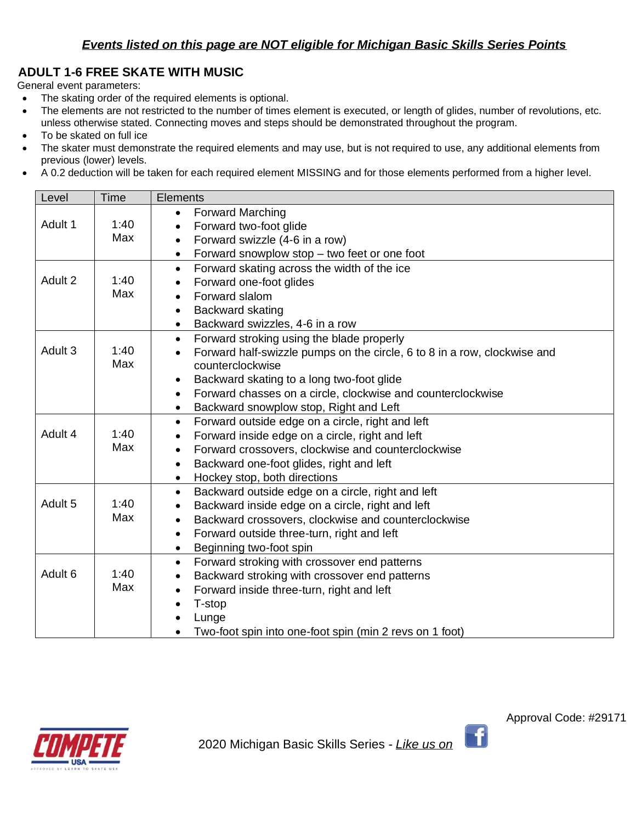# **ADULT 1-6 FREE SKATE WITH MUSIC**

General event parameters:

- The skating order of the required elements is optional.
- The elements are not restricted to the number of times element is executed, or length of glides, number of revolutions, etc. unless otherwise stated. Connecting moves and steps should be demonstrated throughout the program.
- To be skated on full ice
- The skater must demonstrate the required elements and may use, but is not required to use, any additional elements from previous (lower) levels.
- A 0.2 deduction will be taken for each required element MISSING and for those elements performed from a higher level.

| Level              | Time | <b>Elements</b>                                                                       |  |  |
|--------------------|------|---------------------------------------------------------------------------------------|--|--|
|                    |      | <b>Forward Marching</b><br>$\bullet$                                                  |  |  |
| Adult 1            | 1:40 | Forward two-foot glide<br>$\bullet$                                                   |  |  |
|                    | Max  | Forward swizzle (4-6 in a row)<br>$\bullet$                                           |  |  |
|                    |      | Forward snowplow stop - two feet or one foot<br>$\bullet$                             |  |  |
|                    |      | Forward skating across the width of the ice<br>$\bullet$                              |  |  |
| Adult 2            | 1:40 | Forward one-foot glides                                                               |  |  |
|                    | Max  | Forward slalom<br>$\bullet$                                                           |  |  |
|                    |      | Backward skating<br>$\bullet$                                                         |  |  |
|                    |      | Backward swizzles, 4-6 in a row<br>$\bullet$                                          |  |  |
|                    |      | Forward stroking using the blade properly<br>$\bullet$                                |  |  |
| Adult <sub>3</sub> | 1:40 | Forward half-swizzle pumps on the circle, 6 to 8 in a row, clockwise and<br>$\bullet$ |  |  |
|                    | Max  | counterclockwise                                                                      |  |  |
|                    |      | Backward skating to a long two-foot glide<br>$\bullet$                                |  |  |
|                    |      | Forward chasses on a circle, clockwise and counterclockwise<br>$\bullet$              |  |  |
|                    |      | Backward snowplow stop, Right and Left<br>$\bullet$                                   |  |  |
|                    |      | Forward outside edge on a circle, right and left<br>$\bullet$                         |  |  |
| Adult 4            | 1:40 | Forward inside edge on a circle, right and left<br>$\bullet$                          |  |  |
|                    | Max  | Forward crossovers, clockwise and counterclockwise<br>$\bullet$                       |  |  |
|                    |      | Backward one-foot glides, right and left<br>$\bullet$                                 |  |  |
|                    |      | Hockey stop, both directions<br>$\bullet$                                             |  |  |
|                    |      | Backward outside edge on a circle, right and left<br>$\bullet$                        |  |  |
| Adult 5            | 1:40 | Backward inside edge on a circle, right and left<br>$\bullet$                         |  |  |
|                    | Max  | Backward crossovers, clockwise and counterclockwise<br>$\bullet$                      |  |  |
|                    |      | Forward outside three-turn, right and left<br>$\bullet$                               |  |  |
|                    |      | Beginning two-foot spin<br>$\bullet$                                                  |  |  |
|                    |      | Forward stroking with crossover end patterns<br>$\bullet$                             |  |  |
| Adult <sub>6</sub> | 1:40 | Backward stroking with crossover end patterns<br>$\bullet$                            |  |  |
|                    | Max  | Forward inside three-turn, right and left<br>$\bullet$                                |  |  |
|                    |      | T-stop<br>$\bullet$                                                                   |  |  |
|                    |      | Lunge                                                                                 |  |  |
|                    |      | Two-foot spin into one-foot spin (min 2 revs on 1 foot)                               |  |  |



 $\lceil \cdot \rceil$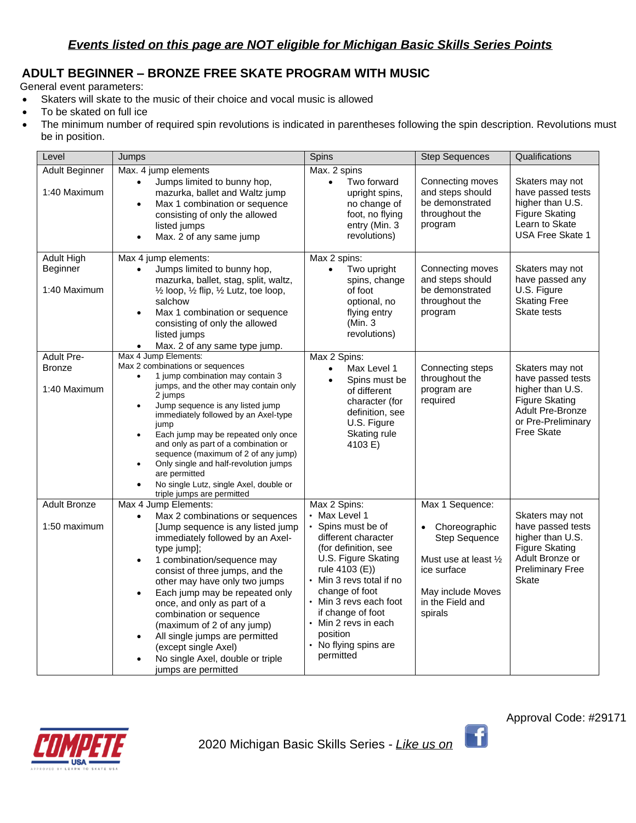# **ADULT BEGINNER – BRONZE FREE SKATE PROGRAM WITH MUSIC**

General event parameters:

- Skaters will skate to the music of their choice and vocal music is allowed
- To be skated on full ice
- The minimum number of required spin revolutions is indicated in parentheses following the spin description. Revolutions must be in position.

| Level                                              | Jumps                                                                                                                                                                                                                                                                                                                                                                                                                                                                                                                                               | Spins                                                                                                                                                                                                                                                                                                              | <b>Step Sequences</b>                                                                                                                                | Qualifications                                                                                                                     |
|----------------------------------------------------|-----------------------------------------------------------------------------------------------------------------------------------------------------------------------------------------------------------------------------------------------------------------------------------------------------------------------------------------------------------------------------------------------------------------------------------------------------------------------------------------------------------------------------------------------------|--------------------------------------------------------------------------------------------------------------------------------------------------------------------------------------------------------------------------------------------------------------------------------------------------------------------|------------------------------------------------------------------------------------------------------------------------------------------------------|------------------------------------------------------------------------------------------------------------------------------------|
| Adult Beginner<br>1:40 Maximum                     | Max. 4 jump elements<br>Jumps limited to bunny hop,<br>mazurka, ballet and Waltz jump<br>Max 1 combination or sequence<br>consisting of only the allowed<br>listed jumps<br>Max. 2 of any same jump<br>$\bullet$                                                                                                                                                                                                                                                                                                                                    | Max. 2 spins<br>Two forward<br>$\bullet$<br>upright spins,<br>no change of<br>foot, no flying<br>entry (Min. 3<br>revolutions)                                                                                                                                                                                     | Connecting moves<br>and steps should<br>be demonstrated<br>throughout the<br>program                                                                 | Skaters may not<br>have passed tests<br>higher than U.S.<br><b>Figure Skating</b><br>Learn to Skate<br><b>USA Free Skate 1</b>     |
| <b>Adult High</b><br>Beginner<br>1:40 Maximum      | Max 4 jump elements:<br>Jumps limited to bunny hop,<br>$\bullet$<br>mazurka, ballet, stag, split, waltz,<br>1/2 loop, 1/2 flip, 1/2 Lutz, toe loop,<br>salchow<br>Max 1 combination or sequence<br>$\bullet$<br>consisting of only the allowed<br>listed jumps<br>Max. 2 of any same type jump.                                                                                                                                                                                                                                                     | Max 2 spins:<br>Two upright<br>$\bullet$<br>spins, change<br>of foot<br>optional, no<br>flying entry<br>(Min. 3<br>revolutions)                                                                                                                                                                                    | Connecting moves<br>and steps should<br>be demonstrated<br>throughout the<br>program                                                                 | Skaters may not<br>have passed any<br>U.S. Figure<br><b>Skating Free</b><br>Skate tests                                            |
| <b>Adult Pre-</b><br><b>Bronze</b><br>1:40 Maximum | Max 4 Jump Elements:<br>Max 2 combinations or sequences<br>1 jump combination may contain 3<br>jumps, and the other may contain only<br>2 jumps<br>Jump sequence is any listed jump<br>immediately followed by an Axel-type<br>jump<br>Each jump may be repeated only once<br>$\bullet$<br>and only as part of a combination or<br>sequence (maximum of 2 of any jump)<br>Only single and half-revolution jumps<br>are permitted<br>No single Lutz, single Axel, double or<br>triple jumps are permitted                                            | Max 2 Spins:<br>Max Level 1<br>$\bullet$<br>Spins must be<br>of different<br>character (for<br>definition, see<br>U.S. Figure<br>Skating rule<br>4103 E)                                                                                                                                                           | Connecting steps<br>throughout the<br>program are<br>required                                                                                        | Skaters may not<br>have passed tests<br>higher than U.S.<br>Figure Skating<br>Adult Pre-Bronze<br>or Pre-Preliminary<br>Free Skate |
| <b>Adult Bronze</b><br>1:50 maximum                | Max 4 Jump Elements:<br>Max 2 combinations or sequences<br>$\bullet$<br>Jump sequence is any listed jump<br>immediately followed by an Axel-<br>type jump];<br>1 combination/sequence may<br>$\bullet$<br>consist of three jumps, and the<br>other may have only two jumps<br>Each jump may be repeated only<br>$\bullet$<br>once, and only as part of a<br>combination or sequence<br>(maximum of 2 of any jump)<br>All single jumps are permitted<br>$\bullet$<br>(except single Axel)<br>No single Axel, double or triple<br>jumps are permitted | Max 2 Spins:<br>• Max Level 1<br>• Spins must be of<br>different character<br>(for definition, see<br>U.S. Figure Skating<br>rule 4103 (E))<br>• Min 3 revs total if no<br>change of foot<br>• Min 3 revs each foot<br>if change of foot<br>• Min 2 revs in each<br>position<br>• No flying spins are<br>permitted | Max 1 Sequence:<br>Choreographic<br><b>Step Sequence</b><br>Must use at least 1/2<br>ice surface<br>May include Moves<br>in the Field and<br>spirals | Skaters may not<br>have passed tests<br>higher than U.S.<br>Figure Skating<br>Adult Bronze or<br><b>Preliminary Free</b><br>Skate  |



 $\mathbf{f}$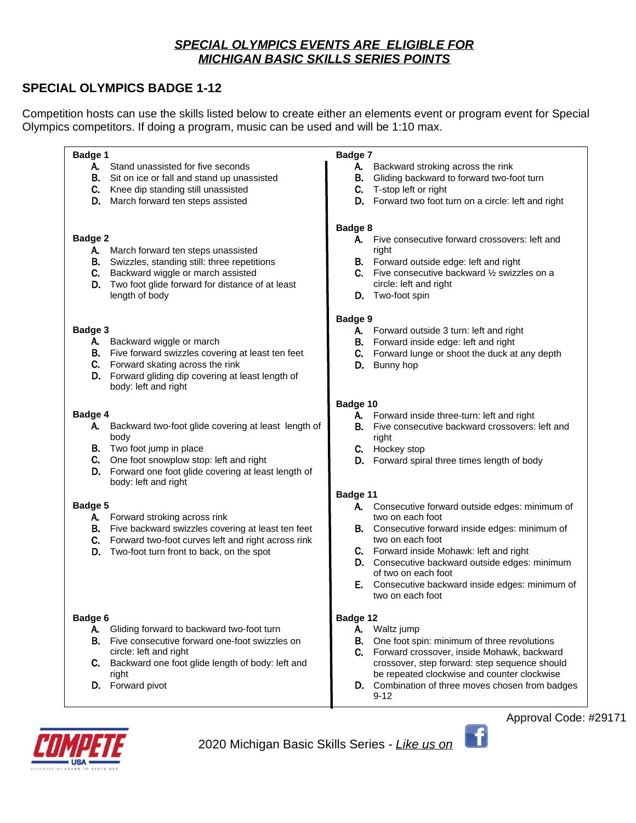### *SPECIAL OLYMPICS EVENTS ARE ELIGIBLE FOR MICHIGAN BASIC SKILLS SERIES POINTS*

### **SPECIAL OLYMPICS BADGE 1-12**

Competition hosts can use the skills listed below to create either an elements event or program event for Special Olympics competitors. If doing a program, music can be used and will be 1:10 max.

**Badge 1** A. Stand unassisted for five seconds B. Sit on ice or fall and stand up unassisted C. Knee dip standing still unassisted D. March forward ten steps assisted **Badge 2** A. March forward ten steps unassisted B. Swizzles, standing still: three repetitions C. Backward wiggle or march assisted D. Two foot glide forward for distance of at least length of body **Badge 3** A. Backward wiggle or march B. Five forward swizzles covering at least ten feet C. Forward skating across the rink D. Forward gliding dip covering at least length of body: left and right **Badge 4** A. Backward two-foot glide covering at least length of body **B.** Two foot jump in place C. One foot snowplow stop: left and right D. Forward one foot glide covering at least length of body: left and right **Badge 5** A. Forward stroking across rink B. Five backward swizzles covering at least ten feet C. Forward two-foot curves left and right across rink D. Two-foot turn front to back, on the spot **Badge 6** A. Gliding forward to backward two-foot turn B. Five consecutive forward one-foot swizzles on circle: left and right C. Backward one foot glide length of body: left and right

D. Forward pivot

#### **Badge 7**

- A. Backward stroking across the rink
- B. Gliding backward to forward two-foot turn
- C. T-stop left or right
- D. Forward two foot turn on a circle: left and right

#### **Badge 8**

- A. Five consecutive forward crossovers: left and right
- B. Forward outside edge: left and right
- C. Five consecutive backward ½ swizzles on a circle: left and right
- D. Two-foot spin

### **Badge 9**

- A. Forward outside 3 turn: left and right
- B. Forward inside edge: left and right
- C. Forward lunge or shoot the duck at any depth
- D. Bunny hop

### **Badge 10**

- A. Forward inside three-turn: left and right
- **B.** Five consecutive backward crossovers: left and right
- C. Hockey stop
- D. Forward spiral three times length of body

### **Badge 11**

- A. Consecutive forward outside edges: minimum of two on each foot
- **B.** Consecutive forward inside edges: minimum of two on each foot
- C. Forward inside Mohawk: left and right
- D. Consecutive backward outside edges: minimum of two on each foot
- E. Consecutive backward inside edges: minimum of two on each foot

### **Badge 12**

### A. Waltz jump

- B. One foot spin: minimum of three revolutions
- C. Forward crossover, inside Mohawk, backward crossover, step forward: step sequence should be repeated clockwise and counter clockwise
- D. Combination of three moves chosen from badges 9-12



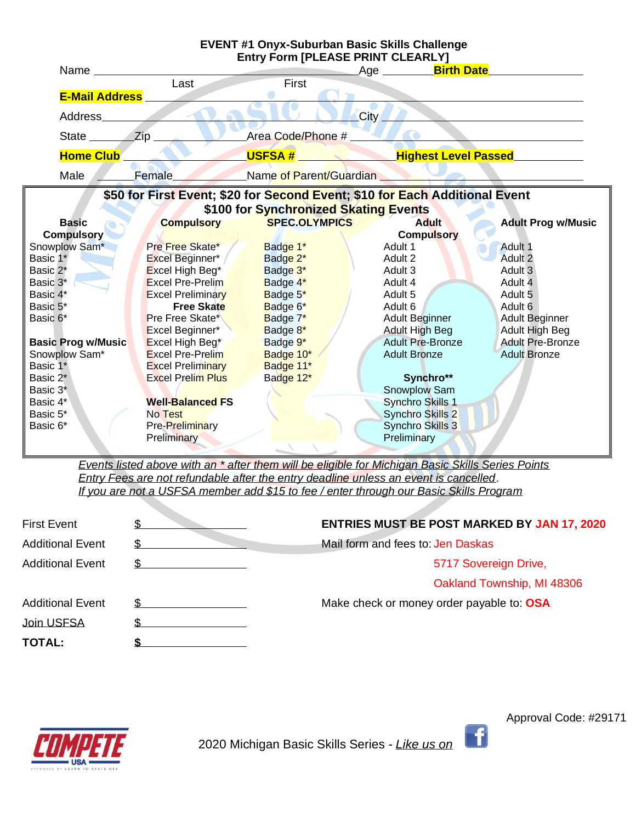

*Events listed above with an \* after them will be eligible for Michigan Basic Skills Series Points Entry Fees are not refundable after the entry deadline unless an event is cancelled*. *If you are not a USFSA member add \$15 to fee / enter through our Basic Skills Program*

| <b>First Event</b>      | <b>ENTRIES MUST BE POST MARKED BY JAN 17, 2020</b> |  |
|-------------------------|----------------------------------------------------|--|
| <b>Additional Event</b> | Mail form and fees to: Jen Daskas                  |  |
| <b>Additional Event</b> | 5717 Sovereign Drive,                              |  |
|                         | Oakland Township, MI 48306                         |  |
| <b>Additional Event</b> | Make check or money order payable to: OSA          |  |
| Join USFSA              |                                                    |  |
| <b>TOTAL:</b>           |                                                    |  |



2020 Michigan Basic Skills Series - *Like us on* 

Approval Code: #29171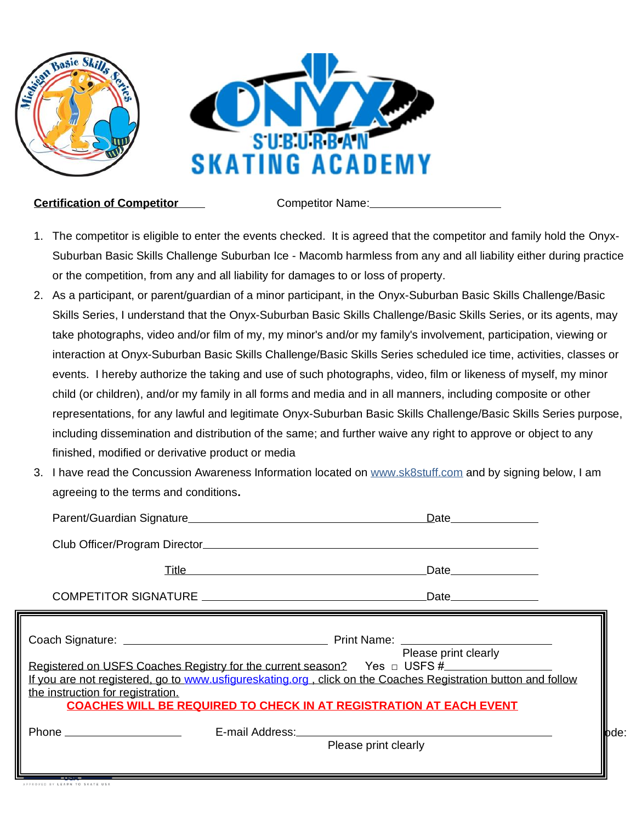

**Certification of Competitor** Competitor Competitor Name:

- 1. The competitor is eligible to enter the events checked. It is agreed that the competitor and family hold the Onyx-Suburban Basic Skills Challenge Suburban Ice - Macomb harmless from any and all liability either during practice or the competition, from any and all liability for damages to or loss of property.
- 2. As a participant, or parent/guardian of a minor participant, in the Onyx-Suburban Basic Skills Challenge/Basic Skills Series, I understand that the Onyx-Suburban Basic Skills Challenge/Basic Skills Series, or its agents, may take photographs, video and/or film of my, my minor's and/or my family's involvement, participation, viewing or interaction at Onyx-Suburban Basic Skills Challenge/Basic Skills Series scheduled ice time, activities, classes or events. I hereby authorize the taking and use of such photographs, video, film or likeness of myself, my minor child (or children), and/or my family in all forms and media and in all manners, including composite or other representations, for any lawful and legitimate Onyx-Suburban Basic Skills Challenge/Basic Skills Series purpose, including dissemination and distribution of the same; and further waive any right to approve or object to any finished, modified or derivative product or media
- 3. I have read the Concussion Awareness Information located on [www.sk8stuff.com](http://www.sk8stuff.com/) and by signing below, I am agreeing to the terms and conditions**.**

|                                   |                                                                            | Date and the set of the set of the set of the set of the set of the set of the set of the set of the set of th                                                                                                                                                          |
|-----------------------------------|----------------------------------------------------------------------------|-------------------------------------------------------------------------------------------------------------------------------------------------------------------------------------------------------------------------------------------------------------------------|
|                                   |                                                                            |                                                                                                                                                                                                                                                                         |
|                                   | <u>Title</u> <b>Example 2014 Contract 2014 Contract 2014 Contract 2014</b> | Date the contract of the contract of the contract of the contract of the contract of the contract of the contract of the contract of the contract of the contract of the contract of the contract of the contract of the contr                                          |
|                                   |                                                                            | Date and the set of the set of the set of the set of the set of the set of the set of the set of the set of th                                                                                                                                                          |
|                                   |                                                                            | Please print clearly                                                                                                                                                                                                                                                    |
| the instruction for registration. |                                                                            | Registered on USFS Coaches Registry for the current season?  Yes □ USFS #<br>If you are not registered, go to www.usfigureskating.org, click on the Coaches Registration button and follow<br><b>COACHES WILL BE REQUIRED TO CHECK IN AT REGISTRATION AT EACH EVENT</b> |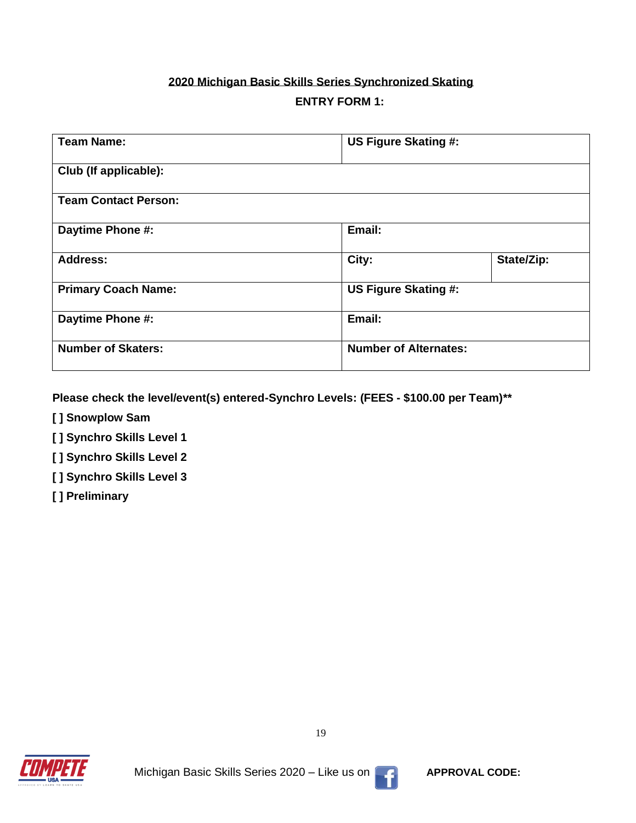# **2020 Michigan Basic Skills Series Synchronized Skating ENTRY FORM 1:**

| <b>Team Name:</b>           | US Figure Skating #: |                              |  |
|-----------------------------|----------------------|------------------------------|--|
| Club (If applicable):       |                      |                              |  |
| <b>Team Contact Person:</b> |                      |                              |  |
| Daytime Phone #:            | Email:               |                              |  |
| <b>Address:</b>             | City:                | State/Zip:                   |  |
| <b>Primary Coach Name:</b>  |                      | US Figure Skating #:         |  |
| Daytime Phone #:            | Email:               |                              |  |
| <b>Number of Skaters:</b>   |                      | <b>Number of Alternates:</b> |  |

**Please check the level/event(s) entered-Synchro Levels: (FEES - \$100.00 per Team)\*\***

- **[ ] Snowplow Sam**
- **[ ] Synchro Skills Level 1**
- **[ ] Synchro Skills Level 2**
- **[ ] Synchro Skills Level 3**
- **[ ] Preliminary**